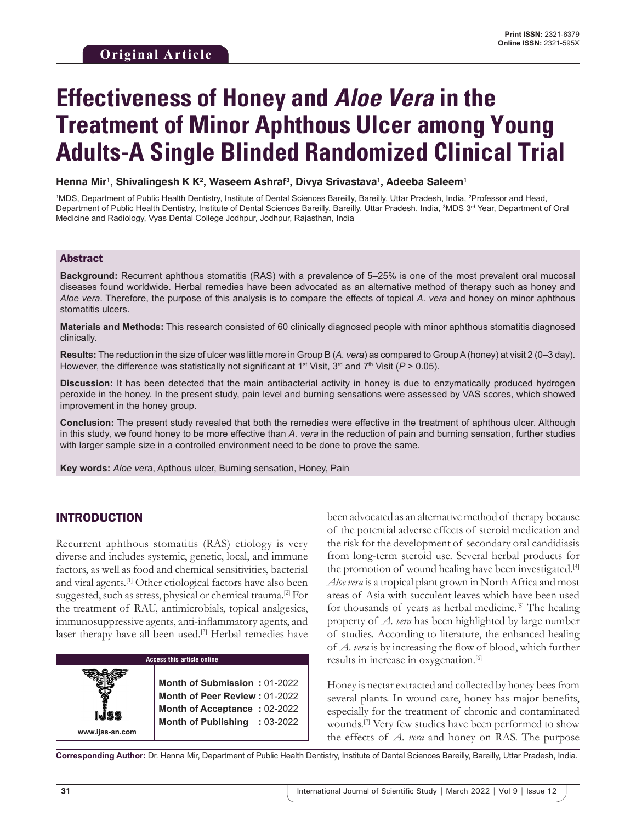# **Effectiveness of Honey and Aloe Vera in the Treatment of Minor Aphthous Ulcer among Young Adults-A Single Blinded Randomized Clinical Trial**

 ${\sf Henna\, Mir$ ', Shivalingesh K K², Waseem Ashraf<sup>3</sup>, Divya Srivastava<sup>1</sup>, Adeeba Saleem<sup>1</sup>

<sup>1</sup>MDS, Department of Public Health Dentistry, Institute of Dental Sciences Bareilly, Bareilly, Uttar Pradesh, India, <sup>2</sup>Professor and Head, Department of Public Health Dentistry, Institute of Dental Sciences Bareilly, Bareilly, Uttar Pradesh, India, <sup>3</sup>MDS 3<sup>rd</sup> Year, Department of Oral Medicine and Radiology, Vyas Dental College Jodhpur, Jodhpur, Rajasthan, India

#### Abstract

**Background:** Recurrent aphthous stomatitis (RAS) with a prevalence of 5–25% is one of the most prevalent oral mucosal diseases found worldwide. Herbal remedies have been advocated as an alternative method of therapy such as honey and *Aloe vera*. Therefore, the purpose of this analysis is to compare the effects of topical *A. vera* and honey on minor aphthous stomatitis ulcers.

**Materials and Methods:** This research consisted of 60 clinically diagnosed people with minor aphthous stomatitis diagnosed clinically.

**Results:** The reduction in the size of ulcer was little more in Group B (*A. vera*) as compared to GroupA (honey) at visit 2 (0–3 day). However, the difference was statistically not significant at 1<sup>st</sup> Visit, 3<sup>rd</sup> and 7<sup>th</sup> Visit ( $P > 0.05$ ).

**Discussion:** It has been detected that the main antibacterial activity in honey is due to enzymatically produced hydrogen peroxide in the honey. In the present study, pain level and burning sensations were assessed by VAS scores, which showed improvement in the honey group.

**Conclusion:** The present study revealed that both the remedies were effective in the treatment of aphthous ulcer. Although in this study, we found honey to be more effective than *A. vera* in the reduction of pain and burning sensation, further studies with larger sample size in a controlled environment need to be done to prove the same.

**Key words:** *Aloe vera*, Apthous ulcer, Burning sensation, Honey, Pain

## INTRODUCTION

**www.ijss-sn.com**

Recurrent aphthous stomatitis (RAS) etiology is very diverse and includes systemic, genetic, local, and immune factors, as well as food and chemical sensitivities, bacterial and viral agents.[1] Other etiological factors have also been suggested, such as stress, physical or chemical trauma.<sup>[2]</sup> For the treatment of RAU, antimicrobials, topical analgesics, immunosuppressive agents, anti-inflammatory agents, and laser therapy have all been used.<sup>[3]</sup> Herbal remedies have



**Month of Submission :** 01-2022 **Month of Peer Review :** 01-2022 **Month of Acceptance :** 02-2022 **Month of Publishing :** 03-2022 been advocated as an alternative method of therapy because of the potential adverse effects of steroid medication and the risk for the development of secondary oral candidiasis from long-term steroid use. Several herbal products for the promotion of wound healing have been investigated.<sup>[4]</sup> *Aloe vera* is a tropical plant grown in North Africa and most areas of Asia with succulent leaves which have been used for thousands of years as herbal medicine.[5] The healing property of *A. vera* has been highlighted by large number of studies. According to literature, the enhanced healing of *A. vera* is by increasing the flow of blood, which further results in increase in oxygenation.<sup>[6]</sup>

Honey is nectar extracted and collected by honey bees from several plants. In wound care, honey has major benefits, especially for the treatment of chronic and contaminated wounds.[7] Very few studies have been performed to show the effects of *A. vera* and honey on RAS. The purpose

**Corresponding Author:** Dr. Henna Mir, Department of Public Health Dentistry, Institute of Dental Sciences Bareilly, Bareilly, Uttar Pradesh, India.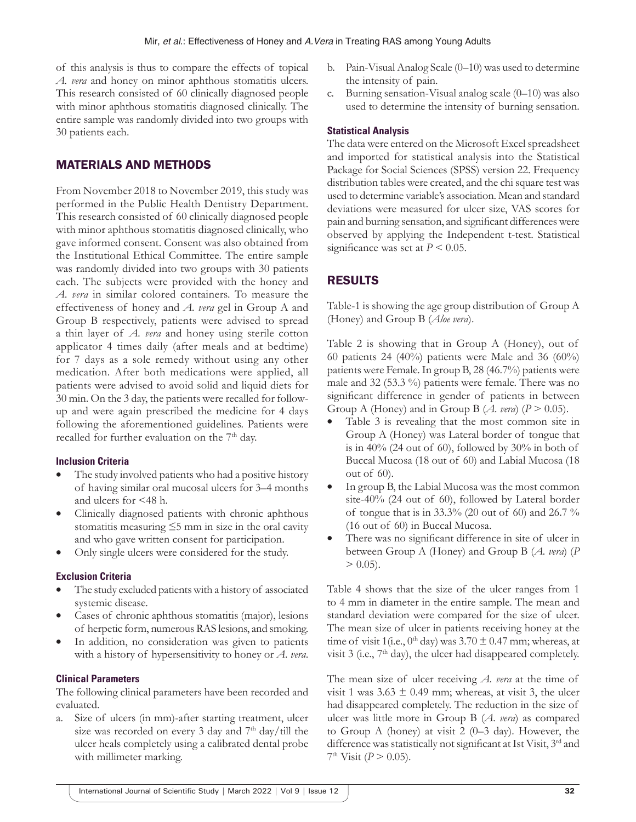of this analysis is thus to compare the effects of topical *A. vera* and honey on minor aphthous stomatitis ulcers. This research consisted of 60 clinically diagnosed people with minor aphthous stomatitis diagnosed clinically. The entire sample was randomly divided into two groups with 30 patients each.

# MATERIALS AND METHODS

From November 2018 to November 2019, this study was performed in the Public Health Dentistry Department. This research consisted of 60 clinically diagnosed people with minor aphthous stomatitis diagnosed clinically, who gave informed consent. Consent was also obtained from the Institutional Ethical Committee. The entire sample was randomly divided into two groups with 30 patients each. The subjects were provided with the honey and *A. vera* in similar colored containers. To measure the effectiveness of honey and *A. vera* gel in Group A and Group B respectively, patients were advised to spread a thin layer of *A. vera* and honey using sterile cotton applicator 4 times daily (after meals and at bedtime) for 7 days as a sole remedy without using any other medication. After both medications were applied, all patients were advised to avoid solid and liquid diets for 30 min. On the 3 day, the patients were recalled for followup and were again prescribed the medicine for 4 days following the aforementioned guidelines. Patients were recalled for further evaluation on the 7<sup>th</sup> day.

#### **Inclusion Criteria**

- The study involved patients who had a positive history of having similar oral mucosal ulcers for 3–4 months and ulcers for <48 h.
- Clinically diagnosed patients with chronic aphthous stomatitis measuring  $\leq$ 5 mm in size in the oral cavity and who gave written consent for participation.
- Only single ulcers were considered for the study.

#### **Exclusion Criteria**

- The study excluded patients with a history of associated systemic disease.
- Cases of chronic aphthous stomatitis (major), lesions of herpetic form, numerous RAS lesions, and smoking.
- In addition, no consideration was given to patients with a history of hypersensitivity to honey or *A. vera*.

#### **Clinical Parameters**

The following clinical parameters have been recorded and evaluated.

a. Size of ulcers (in mm)-after starting treatment, ulcer size was recorded on every 3 day and 7<sup>th</sup> day/till the ulcer heals completely using a calibrated dental probe with millimeter marking.

- b. Pain-Visual Analog Scale (0–10) was used to determine the intensity of pain.
- c. Burning sensation-Visual analog scale (0–10) was also used to determine the intensity of burning sensation.

## **Statistical Analysis**

The data were entered on the Microsoft Excel spreadsheet and imported for statistical analysis into the Statistical Package for Social Sciences (SPSS) version 22. Frequency distribution tables were created, and the chi square test was used to determine variable's association. Mean and standard deviations were measured for ulcer size, VAS scores for pain and burning sensation, and significant differences were observed by applying the Independent t-test. Statistical significance was set at  $P \leq 0.05$ .

# RESULTS

Table-1 is showing the age group distribution of Group A (Honey) and Group B (*Aloe vera*).

Table 2 is showing that in Group A (Honey), out of 60 patients 24 (40%) patients were Male and 36 (60%) patients were Female. In group B, 28 (46.7%) patients were male and 32 (53.3 %) patients were female. There was no significant difference in gender of patients in between Group A (Honey) and in Group B  $(A. \text{veral } (P > 0.05)).$ 

- Table 3 is revealing that the most common site in Group A (Honey) was Lateral border of tongue that is in 40% (24 out of 60), followed by 30% in both of Buccal Mucosa (18 out of 60) and Labial Mucosa (18 out of 60).
- In group B, the Labial Mucosa was the most common site-40% (24 out of 60), followed by Lateral border of tongue that is in  $33.3\%$  (20 out of 60) and 26.7 % (16 out of 60) in Buccal Mucosa.
- There was no significant difference in site of ulcer in between Group A (Honey) and Group B (*A. vera*) (*P*  $> 0.05$ ).

Table 4 shows that the size of the ulcer ranges from 1 to 4 mm in diameter in the entire sample. The mean and standard deviation were compared for the size of ulcer. The mean size of ulcer in patients receiving honey at the time of visit 1(i.e.,  $0<sup>th</sup>$  day) was 3.70  $\pm$  0.47 mm; whereas, at visit  $3$  (i.e.,  $7<sup>th</sup>$  day), the ulcer had disappeared completely.

The mean size of ulcer receiving *A. vera* at the time of visit 1 was  $3.63 \pm 0.49$  mm; whereas, at visit 3, the ulcer had disappeared completely. The reduction in the size of ulcer was little more in Group B (*A. vera*) as compared to Group A (honey) at visit 2 (0–3 day). However, the difference was statistically not significant at Ist Visit, 3<sup>rd</sup> and  $7<sup>th</sup>$  Visit (*P* > 0.05).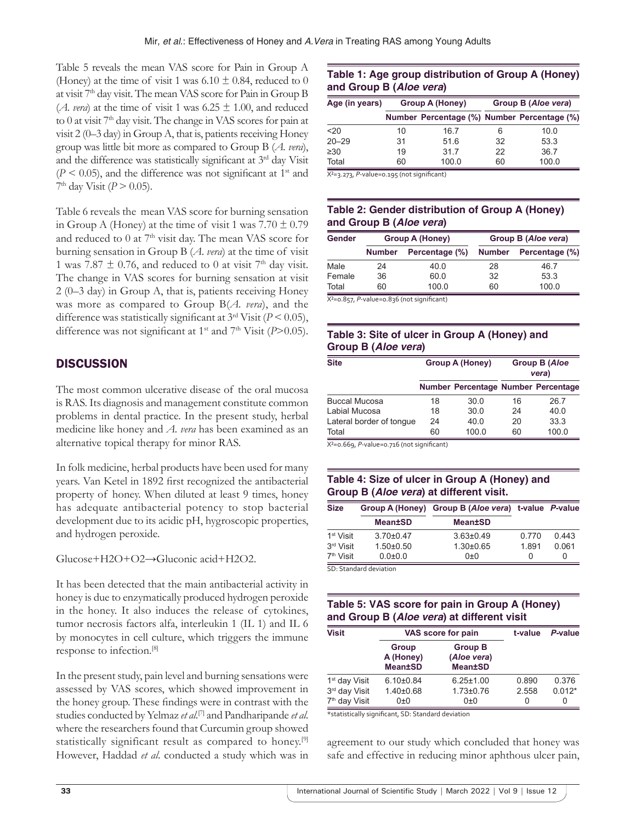Table 5 reveals the mean VAS score for Pain in Group A (Honey) at the time of visit 1 was  $6.10 \pm 0.84$ , reduced to 0 at visit 7th day visit. The mean VAS score for Pain in Group B (*A. vera*) at the time of visit 1 was  $6.25 \pm 1.00$ , and reduced to 0 at visit 7<sup>th</sup> day visit. The change in VAS scores for pain at visit 2 (0–3 day) in Group A, that is, patients receiving Honey group was little bit more as compared to Group B (*A. vera*), and the difference was statistically significant at 3rd day Visit  $(P < 0.05)$ , and the difference was not significant at 1<sup>st</sup> and  $7<sup>th</sup>$  day Visit (*P* > 0.05).

Table 6 reveals the mean VAS score for burning sensation in Group A (Honey) at the time of visit 1 was  $7.70 \pm 0.79$ and reduced to 0 at 7<sup>th</sup> visit day. The mean VAS score for burning sensation in Group B (*A. vera*) at the time of visit 1 was 7.87  $\pm$  0.76, and reduced to 0 at visit 7<sup>th</sup> day visit. The change in VAS scores for burning sensation at visit 2 (0–3 day) in Group A, that is, patients receiving Honey was more as compared to Group B(*A. vera*), and the difference was statistically significant at 3rd Visit (*P* < 0.05), difference was not significant at 1<sup>st</sup> and 7<sup>th</sup> Visit (*P*>0.05).

# **DISCUSSION**

The most common ulcerative disease of the oral mucosa is RAS. Its diagnosis and management constitute common problems in dental practice. In the present study, herbal medicine like honey and *A. vera* has been examined as an alternative topical therapy for minor RAS.

In folk medicine, herbal products have been used for many years. Van Ketel in 1892 first recognized the antibacterial property of honey. When diluted at least 9 times, honey has adequate antibacterial potency to stop bacterial development due to its acidic pH, hygroscopic properties, and hydrogen peroxide.

Glucose+H2O+O2→Gluconic acid+H2O2.

It has been detected that the main antibacterial activity in honey is due to enzymatically produced hydrogen peroxide in the honey. It also induces the release of cytokines, tumor necrosis factors alfa, interleukin 1 (IL 1) and IL 6 by monocytes in cell culture, which triggers the immune response to infection.[8]

In the present study, pain level and burning sensations were assessed by VAS scores, which showed improvement in the honey group. These findings were in contrast with the studies conducted by Yelmaz *et al*. [7] and Pandharipande *et al*. where the researchers found that Curcumin group showed statistically significant result as compared to honey.[9] However, Haddad *et al*. conducted a study which was in

## **Table 1: Age group distribution of Group A (Honey) and Group B (***Aloe vera***)**

| Age (in years) | Group A (Honey) |                                             | Group B (Aloe vera) |       |  |
|----------------|-----------------|---------------------------------------------|---------------------|-------|--|
|                |                 | Number Percentage (%) Number Percentage (%) |                     |       |  |
| $20$           | 10              | 16.7                                        |                     | 10.0  |  |
| $20 - 29$      | 31              | 51.6                                        | 32                  | 53.3  |  |
| $\geq 30$      | 19              | 31.7                                        | 22                  | 36.7  |  |
| Total          | 60              | 100.0                                       | 60                  | 100.0 |  |

X²=3.273, *P-*value=0.195 (not significant)

## **Table 2: Gender distribution of Group A (Honey) and Group B (***Aloe vera***)**

| Gender | <b>Group A (Honey)</b> |                | Group B (Aloe vera) |                |  |
|--------|------------------------|----------------|---------------------|----------------|--|
|        | <b>Number</b>          | Percentage (%) | <b>Number</b>       | Percentage (%) |  |
| Male   | 24                     | 40.0           | 28                  | 46.7           |  |
| Female | 36                     | 60.0           | 32                  | 53.3           |  |
| Total  | 60                     | 100.0          | 60                  | 100.0          |  |

X²=0.857, *P-*value=0.836 (not significant)

## **Table 3: Site of ulcer in Group A (Honey) and Group B (***Aloe vera***)**

| <b>Site</b>              |    | <b>Group A (Honey)</b>              | <b>Group B (Aloe</b><br>vera) |       |
|--------------------------|----|-------------------------------------|-------------------------------|-------|
|                          |    | Number Percentage Number Percentage |                               |       |
| <b>Buccal Mucosa</b>     | 18 | 30.0                                | 16                            | 26.7  |
| Labial Mucosa            | 18 | 30.0                                | 24                            | 40.0  |
| Lateral border of tonque | 24 | 40.0                                | 20                            | 33.3  |
| Total                    | 60 | 100.0                               | 60                            | 100.0 |

X²=0.669, *P-*value=0.716 (not significant)

## **Table 4: Size of ulcer in Group A (Honey) and Group B (***Aloe vera***) at different visit.**

| <b>Size</b>            |                 | Group A (Honey) Group B (Aloe vera) t-value P-value |              |       |  |
|------------------------|-----------------|-----------------------------------------------------|--------------|-------|--|
|                        | <b>Mean±SD</b>  | <b>Mean±SD</b>                                      |              |       |  |
| 1 <sup>st</sup> Visit  | $3.70 + 0.47$   | $3.63 \pm 0.49$                                     | 0.770        | 0.443 |  |
| 3 <sup>rd</sup> Visit  | $1.50 \pm 0.50$ | $1.30 \pm 0.65$                                     | 1.891        | 0.061 |  |
| 7 <sup>th</sup> Visit  | $0.0 + 0.0$     | 0±0                                                 | $\mathbf{0}$ | Ω     |  |
| SD. Standard deviation |                 |                                                     |              |       |  |

SD: Standard deviation

## **Table 5: VAS score for pain in Group A (Honey) and Group B (***Aloe vera***) at different visit**

| <b>Visit</b>              | VAS score for pain                   | t-value                                         | P-value |          |
|---------------------------|--------------------------------------|-------------------------------------------------|---------|----------|
|                           | Group<br>A (Honey)<br><b>Mean±SD</b> | <b>Group B</b><br>(Aloe vera)<br><b>Mean±SD</b> |         |          |
| 1 <sup>st</sup> day Visit | $6.10\pm0.84$                        | $6.25 \pm 1.00$                                 | 0.890   | 0.376    |
| 3rd day Visit             | $1.40 \pm 0.68$                      | $1.73 \pm 0.76$                                 | 2.558   | $0.012*$ |
| 7 <sup>th</sup> day Visit | 0±0                                  | 0±0                                             | 0       | 0        |

\*statistically significant, SD: Standard deviation

agreement to our study which concluded that honey was safe and effective in reducing minor aphthous ulcer pain,